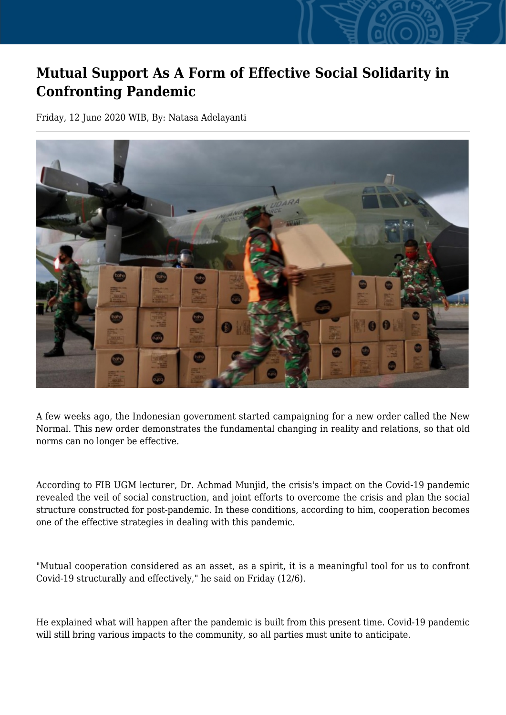## **Mutual Support As A Form of Effective Social Solidarity in Confronting Pandemic**

Friday, 12 June 2020 WIB, By: Natasa Adelayanti



A few weeks ago, the Indonesian government started campaigning for a new order called the New Normal. This new order demonstrates the fundamental changing in reality and relations, so that old norms can no longer be effective.

According to FIB UGM lecturer, Dr. Achmad Munjid, the crisis's impact on the Covid-19 pandemic revealed the veil of social construction, and joint efforts to overcome the crisis and plan the social structure constructed for post-pandemic. In these conditions, according to him, cooperation becomes one of the effective strategies in dealing with this pandemic.

"Mutual cooperation considered as an asset, as a spirit, it is a meaningful tool for us to confront Covid-19 structurally and effectively," he said on Friday (12/6).

He explained what will happen after the pandemic is built from this present time. Covid-19 pandemic will still bring various impacts to the community, so all parties must unite to anticipate.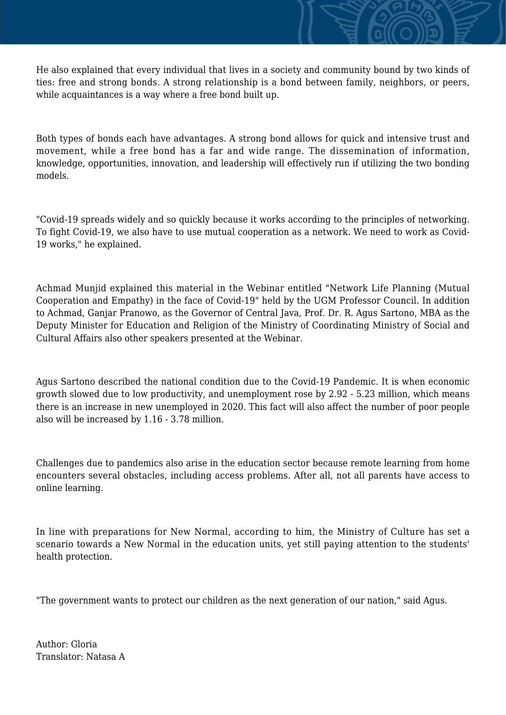He also explained that every individual that lives in a society and community bound by two kinds of ties: free and strong bonds. A strong relationship is a bond between family, neighbors, or peers, while acquaintances is a way where a free bond built up.

Both types of bonds each have advantages. A strong bond allows for quick and intensive trust and movement, while a free bond has a far and wide range. The dissemination of information, knowledge, opportunities, innovation, and leadership will effectively run if utilizing the two bonding models.

"Covid-19 spreads widely and so quickly because it works according to the principles of networking. To fight Covid-19, we also have to use mutual cooperation as a network. We need to work as Covid-19 works," he explained.

Achmad Munjid explained this material in the Webinar entitled "Network Life Planning (Mutual Cooperation and Empathy) in the face of Covid-19" held by the UGM Professor Council. In addition to Achmad, Ganjar Pranowo, as the Governor of Central Java, Prof. Dr. R. Agus Sartono, MBA as the Deputy Minister for Education and Religion of the Ministry of Coordinating Ministry of Social and Cultural Affairs also other speakers presented at the Webinar.

Agus Sartono described the national condition due to the Covid-19 Pandemic. It is when economic growth slowed due to low productivity, and unemployment rose by 2.92 - 5.23 million, which means there is an increase in new unemployed in 2020. This fact will also affect the number of poor people also will be increased by 1.16 - 3.78 million.

Challenges due to pandemics also arise in the education sector because remote learning from home encounters several obstacles, including access problems. After all, not all parents have access to online learning.

In line with preparations for New Normal, according to him, the Ministry of Culture has set a scenario towards a New Normal in the education units, yet still paying attention to the students' health protection.

"The government wants to protect our children as the next generation of our nation," said Agus.

Author: Gloria Translator: Natasa A